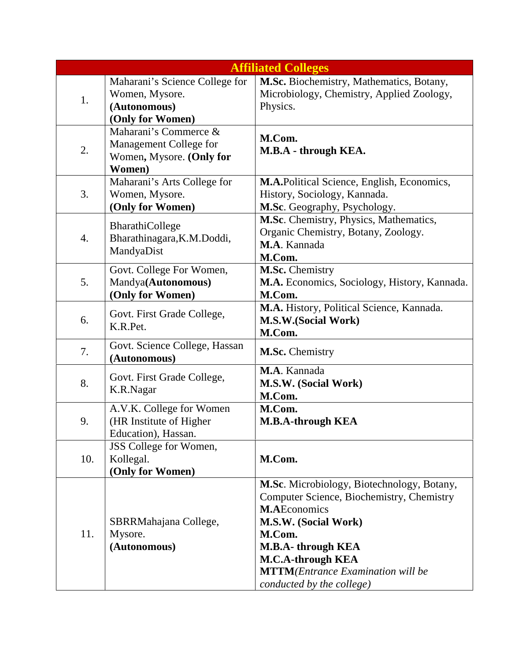|     |                                                                                       | <b>Affiliated Colleges</b>                                                                                                                                                                                                                                                  |
|-----|---------------------------------------------------------------------------------------|-----------------------------------------------------------------------------------------------------------------------------------------------------------------------------------------------------------------------------------------------------------------------------|
| 1.  | Maharani's Science College for<br>Women, Mysore.<br>(Autonomous)<br>(Only for Women)  | M.Sc. Biochemistry, Mathematics, Botany,<br>Microbiology, Chemistry, Applied Zoology,<br>Physics.                                                                                                                                                                           |
| 2.  | Maharani's Commerce &<br>Management College for<br>Women, Mysore. (Only for<br>Women) | M.Com.<br>M.B.A - through KEA.                                                                                                                                                                                                                                              |
| 3.  | Maharani's Arts College for<br>Women, Mysore.<br>(Only for Women)                     | M.A.Political Science, English, Economics,<br>History, Sociology, Kannada.<br>M.Sc. Geography, Psychology.                                                                                                                                                                  |
| 4.  | BharathiCollege<br>Bharathinagara, K.M.Doddi,<br>MandyaDist                           | M.Sc. Chemistry, Physics, Mathematics,<br>Organic Chemistry, Botany, Zoology.<br>M.A. Kannada<br>M.Com.                                                                                                                                                                     |
| 5.  | Govt. College For Women,<br>Mandya(Autonomous)<br>(Only for Women)                    | M.Sc. Chemistry<br>M.A. Economics, Sociology, History, Kannada.<br>M.Com.                                                                                                                                                                                                   |
| 6.  | Govt. First Grade College,<br>K.R.Pet.                                                | M.A. History, Political Science, Kannada.<br>M.S.W.(Social Work)<br>M.Com.                                                                                                                                                                                                  |
| 7.  | Govt. Science College, Hassan<br>(Autonomous)                                         | M.Sc. Chemistry                                                                                                                                                                                                                                                             |
| 8.  | Govt. First Grade College,<br>K.R.Nagar                                               | M.A. Kannada<br>M.S.W. (Social Work)<br>M.Com.                                                                                                                                                                                                                              |
| 9.  | A.V.K. College for Women<br>(HR Institute of Higher<br>Education), Hassan.            | M.Com.<br><b>M.B.A-through KEA</b>                                                                                                                                                                                                                                          |
| 10. | JSS College for Women,<br>Kollegal.<br>(Only for Women)                               | M.Com.                                                                                                                                                                                                                                                                      |
| 11. | SBRRMahajana College,<br>Mysore.<br>(Autonomous)                                      | M.Sc. Microbiology, Biotechnology, Botany,<br>Computer Science, Biochemistry, Chemistry<br><b>M.AEconomics</b><br>M.S.W. (Social Work)<br>M.Com.<br>M.B.A-through KEA<br><b>M.C.A-through KEA</b><br><b>MTTM</b> (Entrance Examination will be<br>conducted by the college) |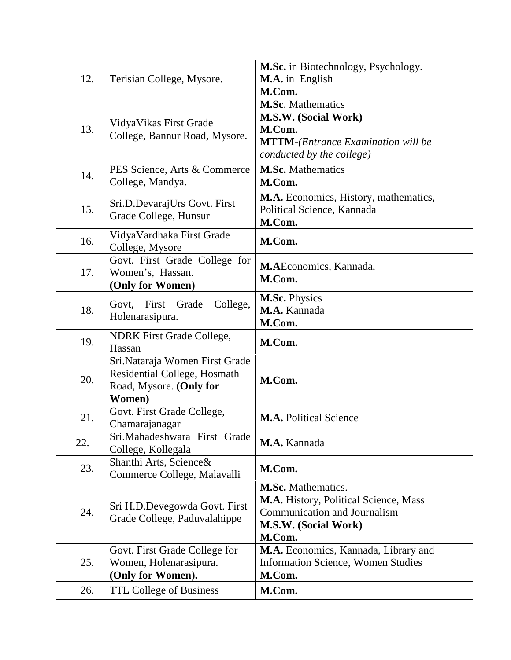| 12. | Terisian College, Mysore.                                                                           | M.Sc. in Biotechnology, Psychology.<br>M.A. in English<br>M.Com.                                                                            |
|-----|-----------------------------------------------------------------------------------------------------|---------------------------------------------------------------------------------------------------------------------------------------------|
| 13. | VidyaVikas First Grade<br>College, Bannur Road, Mysore.                                             | <b>M.Sc.</b> Mathematics<br>M.S.W. (Social Work)<br>M.Com.<br><b>MTTM-</b> (Entrance Examination will be<br>conducted by the college)       |
| 14. | PES Science, Arts & Commerce<br>College, Mandya.                                                    | <b>M.Sc.</b> Mathematics<br>M.Com.                                                                                                          |
| 15. | Sri.D.DevarajUrs Govt. First<br>Grade College, Hunsur                                               | M.A. Economics, History, mathematics,<br>Political Science, Kannada<br>M.Com.                                                               |
| 16. | VidyaVardhaka First Grade<br>College, Mysore                                                        | M.Com.                                                                                                                                      |
| 17. | Govt. First Grade College for<br>Women's, Hassan.<br>(Only for Women)                               | M.AEconomics, Kannada,<br>M.Com.                                                                                                            |
| 18. | College,<br>Govt, First Grade<br>Holenarasipura.                                                    | M.Sc. Physics<br>M.A. Kannada<br>M.Com.                                                                                                     |
| 19. | <b>NDRK</b> First Grade College,<br>Hassan                                                          | M.Com.                                                                                                                                      |
| 20. | Sri.Nataraja Women First Grade<br>Residential College, Hosmath<br>Road, Mysore. (Only for<br>Women) | M.Com.                                                                                                                                      |
| 21. | Govt. First Grade College,<br>Chamarajanagar                                                        | <b>M.A. Political Science</b>                                                                                                               |
| 22. | Sri. Mahadeshwara First Grade<br>College, Kollegala                                                 | M.A. Kannada                                                                                                                                |
| 23. | Shanthi Arts, Science&<br>Commerce College, Malavalli                                               | M.Com.                                                                                                                                      |
| 24. | Sri H.D.Devegowda Govt. First<br>Grade College, Paduvalahippe                                       | <b>M.Sc.</b> Mathematics.<br><b>M.A.</b> History, Political Science, Mass<br>Communication and Journalism<br>M.S.W. (Social Work)<br>M.Com. |
| 25. | Govt. First Grade College for<br>Women, Holenarasipura.<br>(Only for Women).                        | M.A. Economics, Kannada, Library and<br><b>Information Science, Women Studies</b><br>M.Com.                                                 |
| 26. | <b>TTL College of Business</b>                                                                      | M.Com.                                                                                                                                      |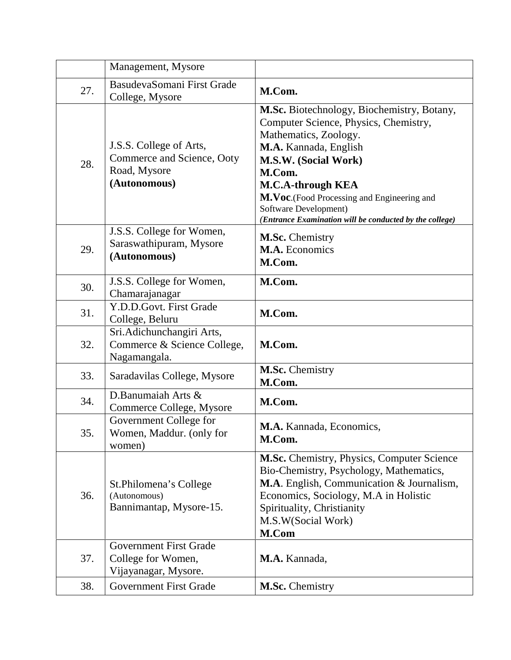|     | Management, Mysore                                                                    |                                                                                                                                                                                                                                                                                                                                |
|-----|---------------------------------------------------------------------------------------|--------------------------------------------------------------------------------------------------------------------------------------------------------------------------------------------------------------------------------------------------------------------------------------------------------------------------------|
| 27. | BasudevaSomani First Grade<br>College, Mysore                                         | M.Com.                                                                                                                                                                                                                                                                                                                         |
| 28. | J.S.S. College of Arts,<br>Commerce and Science, Ooty<br>Road, Mysore<br>(Autonomous) | M.Sc. Biotechnology, Biochemistry, Botany,<br>Computer Science, Physics, Chemistry,<br>Mathematics, Zoology.<br>M.A. Kannada, English<br>M.S.W. (Social Work)<br>M.Com.<br>M.C.A-through KEA<br>M.Voc.(Food Processing and Engineering and<br>Software Development)<br>(Entrance Examination will be conducted by the college) |
| 29. | J.S.S. College for Women,<br>Saraswathipuram, Mysore<br>(Autonomous)                  | M.Sc. Chemistry<br>M.A. Economics<br>M.Com.                                                                                                                                                                                                                                                                                    |
| 30. | J.S.S. College for Women,<br>Chamarajanagar                                           | M.Com.                                                                                                                                                                                                                                                                                                                         |
| 31. | Y.D.D.Govt. First Grade<br>College, Beluru                                            | M.Com.                                                                                                                                                                                                                                                                                                                         |
| 32. | Sri.Adichunchangiri Arts,<br>Commerce & Science College,<br>Nagamangala.              | M.Com.                                                                                                                                                                                                                                                                                                                         |
| 33. | Saradavilas College, Mysore                                                           | M.Sc. Chemistry<br>M.Com.                                                                                                                                                                                                                                                                                                      |
| 34. | D.Banumaiah Arts &<br>Commerce College, Mysore                                        | M.Com.                                                                                                                                                                                                                                                                                                                         |
| 35. | Government College for<br>Women, Maddur. (only for<br>women)                          | M.A. Kannada, Economics,<br>M.Com.                                                                                                                                                                                                                                                                                             |
| 36. | St.Philomena's College<br>(Autonomous)<br>Bannimantap, Mysore-15.                     | M.Sc. Chemistry, Physics, Computer Science<br>Bio-Chemistry, Psychology, Mathematics,<br>M.A. English, Communication & Journalism,<br>Economics, Sociology, M.A in Holistic<br>Spirituality, Christianity<br>M.S.W(Social Work)<br>M.Com                                                                                       |
| 37. | <b>Government First Grade</b><br>College for Women,<br>Vijayanagar, Mysore.           | M.A. Kannada,                                                                                                                                                                                                                                                                                                                  |
| 38. | <b>Government First Grade</b>                                                         | M.Sc. Chemistry                                                                                                                                                                                                                                                                                                                |